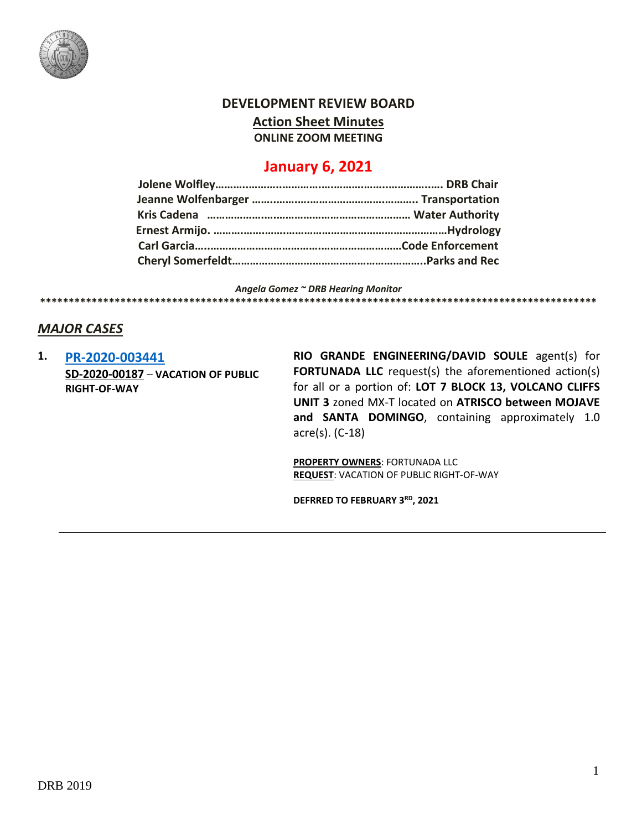

### **DEVELOPMENT REVIEW BOARD**

**Action Sheet Minutes**

**ONLINE ZOOM MEETING**

## **January 6, 2021**

*Angela Gomez ~ DRB Hearing Monitor* **\*\*\*\*\*\*\*\*\*\*\*\*\*\*\*\*\*\*\*\*\*\*\*\*\*\*\*\*\*\*\*\*\*\*\*\*\*\*\*\*\*\*\*\*\*\*\*\*\*\*\*\*\*\*\*\*\*\*\*\*\*\*\*\*\*\*\*\*\*\*\*\*\*\*\*\*\*\*\*\*\*\*\*\*\*\*\*\*\*\*\*\*\*\*\*\*\***

#### *MAJOR CASES*

**1. [PR-2020-003441](http://data.cabq.gov/government/planning/DRB/PR-2020-003441/DRB%20Submittals/PR-2020-003441_Dec_16_2020/PR-2020-003441_Jan_6_2020.pdf) SD-2020-00187** – **VACATION OF PUBLIC RIGHT-OF-WAY**

**RIO GRANDE ENGINEERING/DAVID SOULE** agent(s) for **FORTUNADA LLC** request(s) the aforementioned action(s) for all or a portion of: **LOT 7 BLOCK 13, VOLCANO CLIFFS UNIT 3** zoned MX-T located on **ATRISCO between MOJAVE and SANTA DOMINGO**, containing approximately 1.0 acre(s). (C-18)

**PROPERTY OWNERS**: FORTUNADA LLC **REQUEST**: VACATION OF PUBLIC RIGHT-OF-WAY

**DEFRRED TO FEBRUARY 3RD, 2021**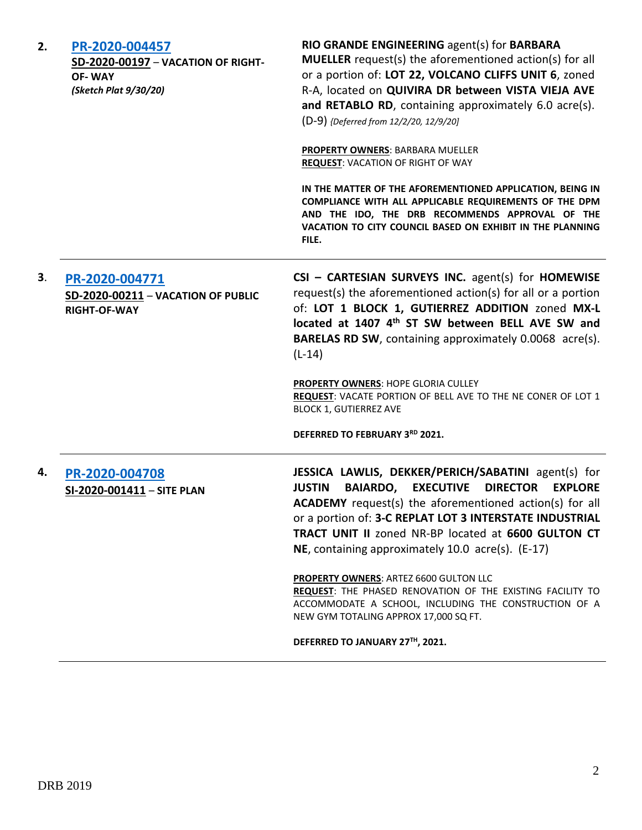| 2. | PR-2020-004457<br>SD-2020-00197 - VACATION OF RIGHT-<br>OF-WAY<br>(Sketch Plat 9/30/20) | RIO GRANDE ENGINEERING agent(s) for BARBARA<br><b>MUELLER</b> request(s) the aforementioned action(s) for all<br>or a portion of: LOT 22, VOLCANO CLIFFS UNIT 6, zoned<br>R-A, located on QUIVIRA DR between VISTA VIEJA AVE<br>and RETABLO RD, containing approximately 6.0 acre(s).<br>(D-9) {Deferred from 12/2/20, 12/9/20]                                                           |
|----|-----------------------------------------------------------------------------------------|-------------------------------------------------------------------------------------------------------------------------------------------------------------------------------------------------------------------------------------------------------------------------------------------------------------------------------------------------------------------------------------------|
|    |                                                                                         | <b>PROPERTY OWNERS: BARBARA MUELLER</b><br><b>REQUEST: VACATION OF RIGHT OF WAY</b>                                                                                                                                                                                                                                                                                                       |
|    |                                                                                         | IN THE MATTER OF THE AFOREMENTIONED APPLICATION, BEING IN<br>COMPLIANCE WITH ALL APPLICABLE REQUIREMENTS OF THE DPM<br>AND THE IDO, THE DRB RECOMMENDS APPROVAL OF THE<br>VACATION TO CITY COUNCIL BASED ON EXHIBIT IN THE PLANNING<br>FILE.                                                                                                                                              |
| 3. | PR-2020-004771<br>SD-2020-00211 - VACATION OF PUBLIC<br><b>RIGHT-OF-WAY</b>             | CSI - CARTESIAN SURVEYS INC. agent(s) for HOMEWISE<br>request(s) the aforementioned action(s) for all or a portion<br>of: LOT 1 BLOCK 1, GUTIERREZ ADDITION zoned MX-L<br>located at 1407 4th ST SW between BELL AVE SW and<br><b>BARELAS RD SW, containing approximately 0.0068 acre(s).</b><br>$(L-14)$                                                                                 |
|    |                                                                                         | <b>PROPERTY OWNERS: HOPE GLORIA CULLEY</b><br>REQUEST: VACATE PORTION OF BELL AVE TO THE NE CONER OF LOT 1<br><b>BLOCK 1, GUTIERREZ AVE</b>                                                                                                                                                                                                                                               |
|    |                                                                                         | DEFERRED TO FEBRUARY 3RD 2021.                                                                                                                                                                                                                                                                                                                                                            |
| 4. | PR-2020-004708<br>SI-2020-001411 - SITE PLAN                                            | JESSICA LAWLIS, DEKKER/PERICH/SABATINI agent(s) for<br><b>BAIARDO,</b><br><b>EXECUTIVE</b><br><b>DIRECTOR</b><br><b>JUSTIN</b><br><b>EXPLORE</b><br>ACADEMY request(s) the aforementioned action(s) for all<br>or a portion of: 3-C REPLAT LOT 3 INTERSTATE INDUSTRIAL<br><b>TRACT UNIT II zoned NR-BP located at 6600 GULTON CT</b><br>NE, containing approximately 10.0 acre(s). (E-17) |
|    |                                                                                         | <b>PROPERTY OWNERS: ARTEZ 6600 GULTON LLC</b><br>REQUEST: THE PHASED RENOVATION OF THE EXISTING FACILITY TO<br>ACCOMMODATE A SCHOOL, INCLUDING THE CONSTRUCTION OF A<br>NEW GYM TOTALING APPROX 17,000 SQ FT.                                                                                                                                                                             |
|    |                                                                                         | DEFERRED TO JANUARY 27TH, 2021.                                                                                                                                                                                                                                                                                                                                                           |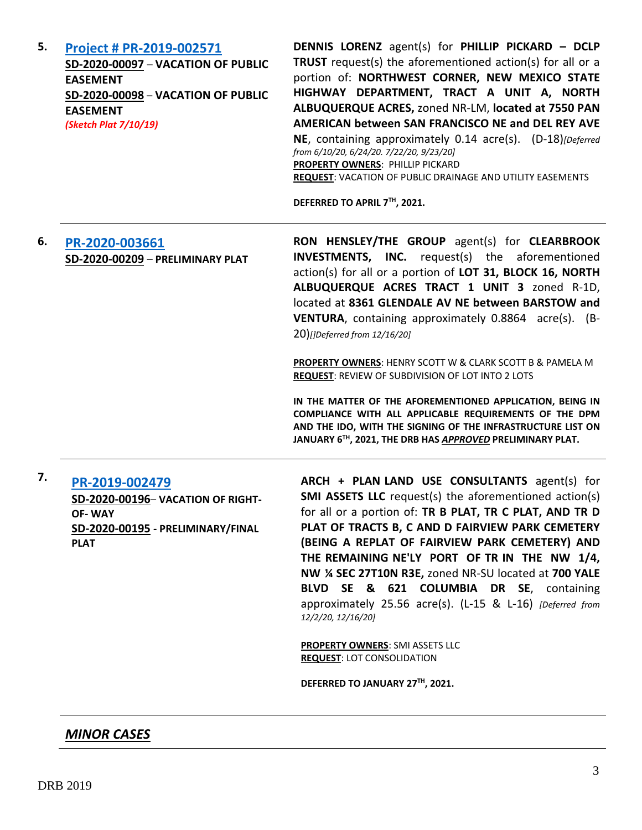**5. [Project # PR-2019-002571](http://data.cabq.gov/government/planning/DRB/PR-2019-002571/DRB%20Submittals/) SD-2020-00097** – **VACATION OF PUBLIC EASEMENT SD-2020-00098** – **VACATION OF PUBLIC EASEMENT** *(Sketch Plat 7/10/19)*

**DENNIS LORENZ** agent(s) for **PHILLIP PICKARD – DCLP TRUST** request(s) the aforementioned action(s) for all or a portion of: **NORTHWEST CORNER, NEW MEXICO STATE HIGHWAY DEPARTMENT, TRACT A UNIT A, NORTH ALBUQUERQUE ACRES,** zoned NR-LM, **located at 7550 PAN AMERICAN between SAN FRANCISCO NE and DEL REY AVE NE**, containing approximately 0.14 acre(s). (D-18)*[Deferred from 6/10/20, 6/24/20. 7/22/20, 9/23/20]* **PROPERTY OWNERS**: PHILLIP PICKARD **REQUEST**: VACATION OF PUBLIC DRAINAGE AND UTILITY EASEMENTS

**DEFERRED TO APRIL 7TH, 2021.**

## **6. [PR-2020-003661](http://data.cabq.gov/government/planning/DRB/PR-2020-003661/DRB%20Submittals/) SD-2020-00209** – **PRELIMINARY PLAT**

**RON HENSLEY/THE GROUP** agent(s) for **CLEARBROOK INVESTMENTS, INC.** request(s) the aforementioned action(s) for all or a portion of **LOT 31, BLOCK 16, NORTH ALBUQUERQUE ACRES TRACT 1 UNIT 3** zoned R-1D, located at **8361 GLENDALE AV NE between BARSTOW and VENTURA**, containing approximately 0.8864 acre(s). (B-20)*[]Deferred from 12/16/20]*

**PROPERTY OWNERS**: HENRY SCOTT W & CLARK SCOTT B & PAMELA M **REQUEST**: REVIEW OF SUBDIVISION OF LOT INTO 2 LOTS

**IN THE MATTER OF THE AFOREMENTIONED APPLICATION, BEING IN COMPLIANCE WITH ALL APPLICABLE REQUIREMENTS OF THE DPM AND THE IDO, WITH THE SIGNING OF THE INFRASTRUCTURE LIST ON JANUARY 6TH, 2021, THE DRB HAS** *APPROVED* **PRELIMINARY PLAT.**

# **7. [PR-2019-002479](http://data.cabq.gov/government/planning/DRB/PR-2019-002479/DRB%20Submittals/)**

**SD-2020-00196**– **VACATION OF RIGHT-OF- WAY SD-2020-00195 - PRELIMINARY/FINAL PLAT**

**ARCH + PLAN LAND USE CONSULTANTS** agent(s) for **SMI ASSETS LLC** request(s) the aforementioned action(s) for all or a portion of: **TR B PLAT, TR C PLAT, AND TR D PLAT OF TRACTS B, C AND D FAIRVIEW PARK CEMETERY (BEING A REPLAT OF FAIRVIEW PARK CEMETERY) AND THE REMAINING NE'LY PORT OF TR IN THE NW 1/4, NW ¼ SEC 27T10N R3E,** zoned NR-SU located at **700 YALE BLVD SE & 621 COLUMBIA DR SE**, containing approximately 25.56 acre(s). (L-15 & L-16) *[Deferred from 12/2/20, 12/16/20]*

**PROPERTY OWNERS**: SMI ASSETS LLC **REQUEST**: LOT CONSOLIDATION

**DEFERRED TO JANUARY 27TH, 2021.**

#### *MINOR CASES*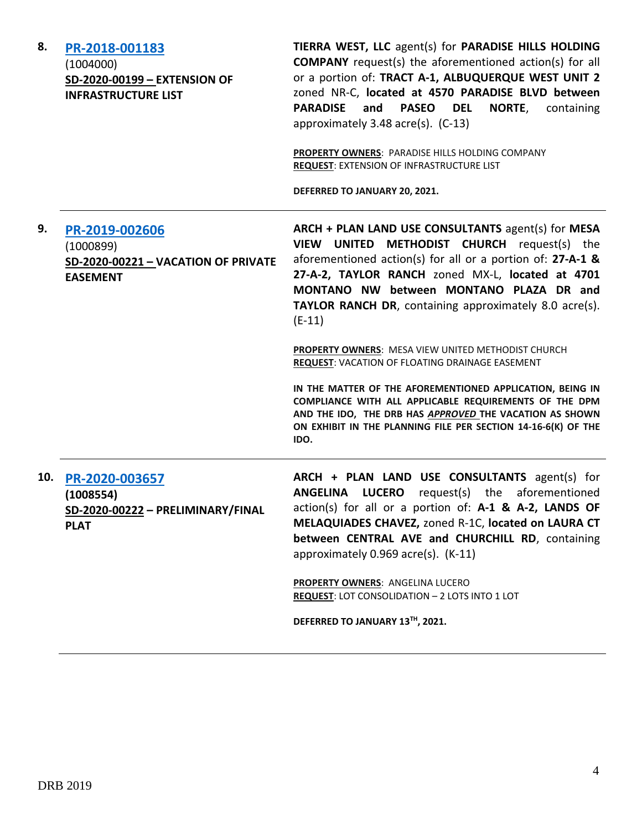| 8.  | PR-2018-001183<br>(1004000)<br>SD-2020-00199 - EXTENSION OF<br><b>INFRASTRUCTURE LIST</b> | TIERRA WEST, LLC agent(s) for PARADISE HILLS HOLDING<br><b>COMPANY</b> request(s) the aforementioned action(s) for all<br>or a portion of: TRACT A-1, ALBUQUERQUE WEST UNIT 2<br>zoned NR-C, located at 4570 PARADISE BLVD between<br>and<br>NORTE,<br><b>PARADISE</b><br><b>PASEO DEL</b><br>containing<br>approximately 3.48 acre(s). (C-13)<br>PROPERTY OWNERS: PARADISE HILLS HOLDING COMPANY<br>REQUEST: EXTENSION OF INFRASTRUCTURE LIST<br>DEFERRED TO JANUARY 20, 2021.                                                                                                                                                                                                                                          |
|-----|-------------------------------------------------------------------------------------------|--------------------------------------------------------------------------------------------------------------------------------------------------------------------------------------------------------------------------------------------------------------------------------------------------------------------------------------------------------------------------------------------------------------------------------------------------------------------------------------------------------------------------------------------------------------------------------------------------------------------------------------------------------------------------------------------------------------------------|
| 9.  | PR-2019-002606<br>(1000899)<br>SD-2020-00221 - VACATION OF PRIVATE<br><b>EASEMENT</b>     | ARCH + PLAN LAND USE CONSULTANTS agent(s) for MESA<br>VIEW UNITED METHODIST CHURCH request(s) the<br>aforementioned action(s) for all or a portion of: $27-A-1$ &<br>27-A-2, TAYLOR RANCH zoned MX-L, located at 4701<br>MONTANO NW between MONTANO PLAZA DR and<br><b>TAYLOR RANCH DR, containing approximately 8.0 acre(s).</b><br>$(E-11)$<br><b>PROPERTY OWNERS: MESA VIEW UNITED METHODIST CHURCH</b><br>REQUEST: VACATION OF FLOATING DRAINAGE EASEMENT<br>IN THE MATTER OF THE AFOREMENTIONED APPLICATION, BEING IN<br>COMPLIANCE WITH ALL APPLICABLE REQUIREMENTS OF THE DPM<br>AND THE IDO, THE DRB HAS APPROVED THE VACATION AS SHOWN<br>ON EXHIBIT IN THE PLANNING FILE PER SECTION 14-16-6(K) OF THE<br>IDO. |
| 10. | PR-2020-003657<br>(1008554)<br>SD-2020-00222 - PRELIMINARY/FINAL<br><b>PLAT</b>           | ARCH + PLAN LAND USE CONSULTANTS agent(s) for<br>ANGELINA LUCERO<br>request(s) the aforementioned<br>action(s) for all or a portion of: A-1 & A-2, LANDS OF<br>MELAQUIADES CHAVEZ, zoned R-1C, located on LAURA CT<br>between CENTRAL AVE and CHURCHILL RD, containing<br>approximately 0.969 acre(s). (K-11)<br><b>PROPERTY OWNERS: ANGELINA LUCERO</b><br>REQUEST: LOT CONSOLIDATION - 2 LOTS INTO 1 LOT<br>DEFERRED TO JANUARY 13TH, 2021.                                                                                                                                                                                                                                                                            |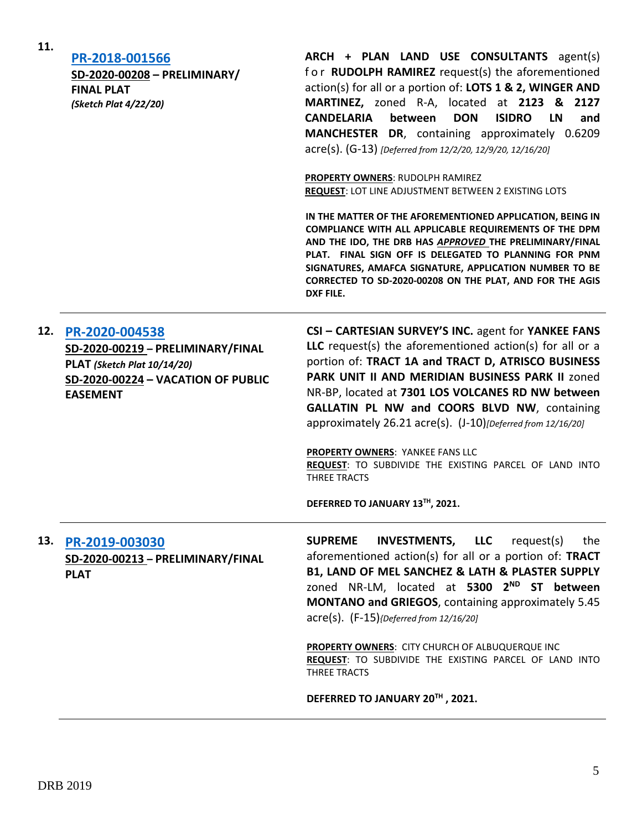|     | SD-2020-00208 - PRELIMINARY/<br><b>FINAL PLAT</b><br>(Sketch Plat 4/22/20)                                                                  | for RUDOLPH RAMIREZ request(s) the aforementioned<br>action(s) for all or a portion of: LOTS 1 & 2, WINGER AND<br>MARTINEZ, zoned R-A, located at 2123 & 2127<br><b>CANDELARIA</b><br>between<br><b>ISIDRO</b><br><b>DON</b><br>LN<br>and<br>MANCHESTER DR, containing approximately 0.6209<br>acre(s). (G-13) [Deferred from 12/2/20, 12/9/20, 12/16/20]<br><b>PROPERTY OWNERS: RUDOLPH RAMIREZ</b><br>REQUEST: LOT LINE ADJUSTMENT BETWEEN 2 EXISTING LOTS<br>IN THE MATTER OF THE AFOREMENTIONED APPLICATION, BEING IN<br>COMPLIANCE WITH ALL APPLICABLE REQUIREMENTS OF THE DPM<br>AND THE IDO, THE DRB HAS APPROVED THE PRELIMINARY/FINAL<br>PLAT. FINAL SIGN OFF IS DELEGATED TO PLANNING FOR PNM<br>SIGNATURES, AMAFCA SIGNATURE, APPLICATION NUMBER TO BE<br>CORRECTED TO SD-2020-00208 ON THE PLAT, AND FOR THE AGIS<br>DXF FILE. |
|-----|---------------------------------------------------------------------------------------------------------------------------------------------|--------------------------------------------------------------------------------------------------------------------------------------------------------------------------------------------------------------------------------------------------------------------------------------------------------------------------------------------------------------------------------------------------------------------------------------------------------------------------------------------------------------------------------------------------------------------------------------------------------------------------------------------------------------------------------------------------------------------------------------------------------------------------------------------------------------------------------------------|
| 12. | PR-2020-004538<br>SD-2020-00219 - PRELIMINARY/FINAL<br>PLAT (Sketch Plat 10/14/20)<br>SD-2020-00224 - VACATION OF PUBLIC<br><b>EASEMENT</b> | CSI - CARTESIAN SURVEY'S INC. agent for YANKEE FANS<br>LLC request(s) the aforementioned action(s) for all or a<br>portion of: TRACT 1A and TRACT D, ATRISCO BUSINESS<br>PARK UNIT II AND MERIDIAN BUSINESS PARK II zoned<br>NR-BP, located at 7301 LOS VOLCANES RD NW between<br><b>GALLATIN PL NW and COORS BLVD NW, containing</b><br>approximately 26.21 acre(s). (J-10)[Deferred from 12/16/20]<br>PROPERTY OWNERS: YANKEE FANS LLC<br>REQUEST: TO SUBDIVIDE THE EXISTING PARCEL OF LAND INTO<br>THREE TRACTS<br>DEFERRED TO JANUARY 13TH, 2021.                                                                                                                                                                                                                                                                                      |
| 13. | PR-2019-003030<br>SD-2020-00213 - PRELIMINARY/FINAL<br><b>PLAT</b>                                                                          | <b>INVESTMENTS, LLC</b> request(s)<br><b>SUPREME</b><br>the<br>aforementioned action(s) for all or a portion of: TRACT<br>B1, LAND OF MEL SANCHEZ & LATH & PLASTER SUPPLY<br>zoned NR-LM, located at 5300 2 <sup>ND</sup> ST between<br>MONTANO and GRIEGOS, containing approximately 5.45<br>$\text{acre}(s)$ . $(F-15)$ {Deferred from 12/16/20]<br><b>PROPERTY OWNERS: CITY CHURCH OF ALBUQUERQUE INC</b><br>REQUEST: TO SUBDIVIDE THE EXISTING PARCEL OF LAND INTO<br>THREE TRACTS                                                                                                                                                                                                                                                                                                                                                     |

#### **DEFERRED TO JANUARY 20TH , 2021.**

**ARCH + PLAN LAND USE CONSULTANTS** agent(s)

**11.**

**[PR-2018-001566](http://data.cabq.gov/government/planning/DRB/PR-2018-001566/DRB%20Submittals/)**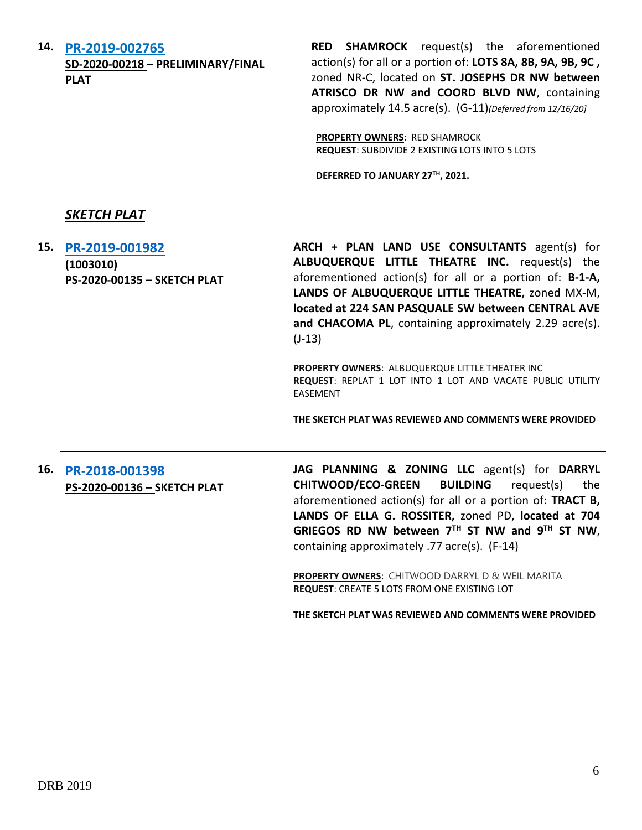**14. [PR-2019-002765](http://data.cabq.gov/government/planning/DRB/PR-2019-002765/DRB%20Submittals/PR-2019-002765_Dec_16_2020/Application/Final_Plat_Coors_Pav_Submit.pdf)**

**SD-2020-00218 – PRELIMINARY/FINAL PLAT**

**RED SHAMROCK** request(s) the aforementioned action(s) for all or a portion of: **LOTS 8A, 8B, 9A, 9B, 9C ,**  zoned NR-C, located on **ST. JOSEPHS DR NW between ATRISCO DR NW and COORD BLVD NW**, containing approximately 14.5 acre(s). (G-11)*(Deferred from 12/16/20]*

**PROPERTY OWNERS**: RED SHAMROCK **REQUEST**: SUBDIVIDE 2 EXISTING LOTS INTO 5 LOTS

**DEFERRED TO JANUARY 27TH , 2021.**

### *SKETCH PLAT*

**15. [PR-2019-001982](http://data.cabq.gov/government/planning/DRB/PR-2019-001982/DRB%20Submittals/PR-2019-001982_Jan_6_2021/Application/PR%202019-001982%20-%20SKETCH%20PLAT%20(1).pdf) (1003010) PS-2020-00135 – SKETCH PLAT** **ARCH + PLAN LAND USE CONSULTANTS** agent(s) for **ALBUQUERQUE LITTLE THEATRE INC.** request(s) the aforementioned action(s) for all or a portion of: **B-1-A, LANDS OF ALBUQUERQUE LITTLE THEATRE,** zoned MX-M, **located at 224 SAN PASQUALE SW between CENTRAL AVE and CHACOMA PL**, containing approximately 2.29 acre(s). (J-13)

**PROPERTY OWNERS**: ALBUQUERQUE LITTLE THEATER INC **REQUEST**: REPLAT 1 LOT INTO 1 LOT AND VACATE PUBLIC UTILITY EASEMENT

**THE SKETCH PLAT WAS REVIEWED AND COMMENTS WERE PROVIDED**

#### **16. [PR-2018-001398](http://data.cabq.gov/government/planning/DRB/PR-2018-001398/DRB%20Submittals/PR-2018-001398_Jan_6_2021/Application/griegos%20sketch%20plat.pdf) PS-2020-00136 – SKETCH PLAT**

**JAG PLANNING & ZONING LLC** agent(s) for **DARRYL CHITWOOD/ECO-GREEN BUILDING** request(s) the aforementioned action(s) for all or a portion of: **TRACT B, LANDS OF ELLA G. ROSSITER,** zoned PD, **located at 704 GRIEGOS RD NW between 7TH ST NW and 9TH ST NW**, containing approximately .77 acre(s). (F-14)

**PROPERTY OWNERS**: CHITWOOD DARRYL D & WEIL MARITA **REQUEST**: CREATE 5 LOTS FROM ONE EXISTING LOT

**THE SKETCH PLAT WAS REVIEWED AND COMMENTS WERE PROVIDED**